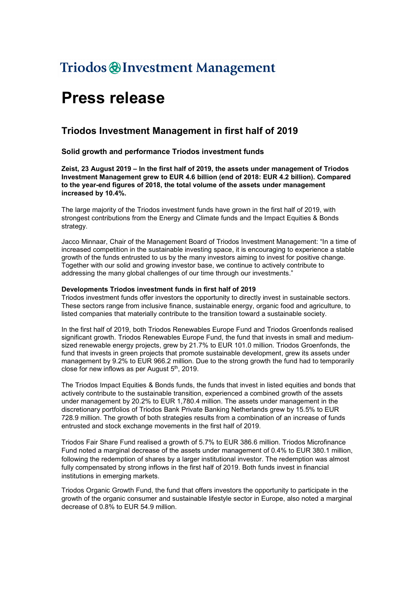## Triodos @Investment Management

# Press release

### Triodos Investment Management in first half of 2019

#### Solid growth and performance Triodos investment funds

Zeist, 23 August 2019 – In the first half of 2019, the assets under management of Triodos Investment Management grew to EUR 4.6 billion (end of 2018: EUR 4.2 billion). Compared to the year-end figures of 2018, the total volume of the assets under management increased by 10.4%.

The large majority of the Triodos investment funds have grown in the first half of 2019, with strongest contributions from the Energy and Climate funds and the Impact Equities & Bonds strategy.

Jacco Minnaar, Chair of the Management Board of Triodos Investment Management: "In a time of increased competition in the sustainable investing space, it is encouraging to experience a stable growth of the funds entrusted to us by the many investors aiming to invest for positive change. Together with our solid and growing investor base, we continue to actively contribute to addressing the many global challenges of our time through our investments."

#### Developments Triodos investment funds in first half of 2019

Triodos investment funds offer investors the opportunity to directly invest in sustainable sectors. These sectors range from inclusive finance, sustainable energy, organic food and agriculture, to listed companies that materially contribute to the transition toward a sustainable society.

In the first half of 2019, both Triodos Renewables Europe Fund and Triodos Groenfonds realised significant growth. Triodos Renewables Europe Fund, the fund that invests in small and mediumsized renewable energy projects, grew by 21.7% to EUR 101.0 million. Triodos Groenfonds, the fund that invests in green projects that promote sustainable development, grew its assets under management by 9.2% to EUR 966.2 million. Due to the strong growth the fund had to temporarily close for new inflows as per August  $5<sup>th</sup>$ , 2019.

The Triodos Impact Equities & Bonds funds, the funds that invest in listed equities and bonds that actively contribute to the sustainable transition, experienced a combined growth of the assets under management by 20.2% to EUR 1,780.4 million. The assets under management in the discretionary portfolios of Triodos Bank Private Banking Netherlands grew by 15.5% to EUR 728.9 million. The growth of both strategies results from a combination of an increase of funds entrusted and stock exchange movements in the first half of 2019.

Triodos Fair Share Fund realised a growth of 5.7% to EUR 386.6 million. Triodos Microfinance Fund noted a marginal decrease of the assets under management of 0.4% to EUR 380.1 million, following the redemption of shares by a larger institutional investor. The redemption was almost fully compensated by strong inflows in the first half of 2019. Both funds invest in financial institutions in emerging markets.

Triodos Organic Growth Fund, the fund that offers investors the opportunity to participate in the growth of the organic consumer and sustainable lifestyle sector in Europe, also noted a marginal decrease of 0.8% to EUR 54.9 million.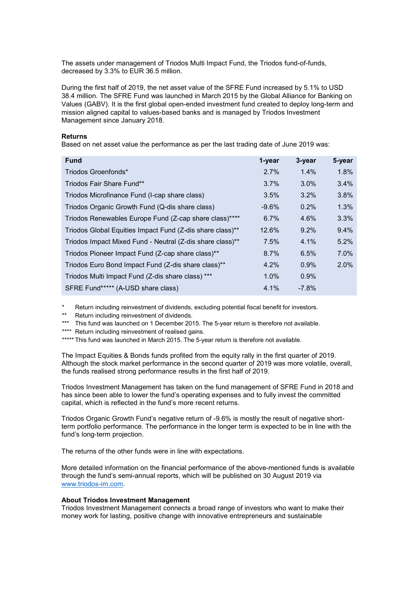The assets under management of Triodos Multi Impact Fund, the Triodos fund-of-funds, decreased by 3.3% to EUR 36.5 million.

During the first half of 2019, the net asset value of the SFRE Fund increased by 5.1% to USD 38.4 million. The SFRE Fund was launched in March 2015 by the Global Alliance for Banking on Values (GABV). It is the first global open-ended investment fund created to deploy long-term and mission aligned capital to values-based banks and is managed by Triodos Investment Management since January 2018.

#### Returns

Based on net asset value the performance as per the last trading date of June 2019 was:

| <b>Fund</b>                                               | 1-year  | 3-year  | 5-year |
|-----------------------------------------------------------|---------|---------|--------|
| Triodos Groenfonds*                                       | 2.7%    | 1.4%    | 1.8%   |
| Triodos Fair Share Fund**                                 | 3.7%    | $3.0\%$ | 3.4%   |
| Triodos Microfinance Fund (I-cap share class)             | 3.5%    | 3.2%    | 3.8%   |
| Triodos Organic Growth Fund (Q-dis share class)           | $-9.6%$ | 0.2%    | 1.3%   |
| Triodos Renewables Europe Fund (Z-cap share class)****    | 6.7%    | 4.6%    | 3.3%   |
| Triodos Global Equities Impact Fund (Z-dis share class)** | 12.6%   | 9.2%    | 9.4%   |
| Triodos Impact Mixed Fund - Neutral (Z-dis share class)** | 7.5%    | 4.1%    | 5.2%   |
| Triodos Pioneer Impact Fund (Z-cap share class)**         | 8.7%    | 6.5%    | 7.0%   |
| Triodos Euro Bond Impact Fund (Z-dis share class)**       | 4.2%    | 0.9%    | 2.0%   |
| Triodos Multi Impact Fund (Z-dis share class) ***         | 1.0%    | 0.9%    |        |
| SFRE Fund***** (A-USD share class)                        | 4.1%    | $-7.8%$ |        |

Return including reinvestment of dividends, excluding potential fiscal benefit for investors.

\*\* Return including reinvestment of dividends.

\*\*\* This fund was launched on 1 December 2015. The 5-year return is therefore not available.

\*\*\*\* Return including reinvestment of realised gains.

\*\*\*\*\* This fund was launched in March 2015. The 5-year return is therefore not available.

The Impact Equities & Bonds funds profited from the equity rally in the first quarter of 2019. Although the stock market performance in the second quarter of 2019 was more volatile, overall, the funds realised strong performance results in the first half of 2019.

Triodos Investment Management has taken on the fund management of SFRE Fund in 2018 and has since been able to lower the fund's operating expenses and to fully invest the committed capital, which is reflected in the fund's more recent returns.

Triodos Organic Growth Fund's negative return of -9.6% is mostly the result of negative shortterm portfolio performance. The performance in the longer term is expected to be in line with the fund's long-term projection.

The returns of the other funds were in line with expectations.

More detailed information on the financial performance of the above-mentioned funds is available through the fund's semi-annual reports, which will be published on 30 August 2019 via www.triodos-im.com.

#### About Triodos Investment Management

Triodos Investment Management connects a broad range of investors who want to make their money work for lasting, positive change with innovative entrepreneurs and sustainable